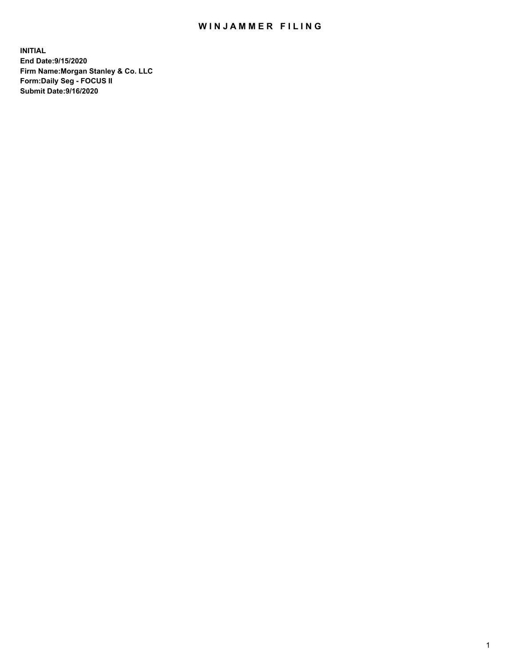## WIN JAMMER FILING

**INITIAL End Date:9/15/2020 Firm Name:Morgan Stanley & Co. LLC Form:Daily Seg - FOCUS II Submit Date:9/16/2020**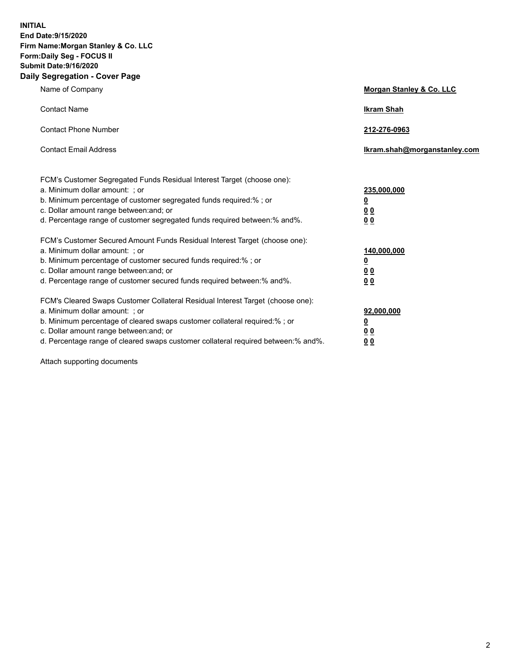**INITIAL End Date:9/15/2020 Firm Name:Morgan Stanley & Co. LLC Form:Daily Seg - FOCUS II Submit Date:9/16/2020 Daily Segregation - Cover Page**

| Name of Company                                                                                                                                                                                                                                                                                                                | Morgan Stanley & Co. LLC                               |
|--------------------------------------------------------------------------------------------------------------------------------------------------------------------------------------------------------------------------------------------------------------------------------------------------------------------------------|--------------------------------------------------------|
| <b>Contact Name</b>                                                                                                                                                                                                                                                                                                            | <b>Ikram Shah</b>                                      |
| <b>Contact Phone Number</b>                                                                                                                                                                                                                                                                                                    | 212-276-0963                                           |
| <b>Contact Email Address</b>                                                                                                                                                                                                                                                                                                   | Ikram.shah@morganstanley.com                           |
| FCM's Customer Segregated Funds Residual Interest Target (choose one):<br>a. Minimum dollar amount: ; or<br>b. Minimum percentage of customer segregated funds required:% ; or<br>c. Dollar amount range between: and; or<br>d. Percentage range of customer segregated funds required between: % and %.                       | 235,000,000<br><u>0</u><br>00<br>0 <sub>0</sub>        |
| FCM's Customer Secured Amount Funds Residual Interest Target (choose one):<br>a. Minimum dollar amount: ; or<br>b. Minimum percentage of customer secured funds required:% ; or<br>c. Dollar amount range between: and; or<br>d. Percentage range of customer secured funds required between:% and%.                           | 140,000,000<br><u>0</u><br><u>00</u><br>0 <sub>0</sub> |
| FCM's Cleared Swaps Customer Collateral Residual Interest Target (choose one):<br>a. Minimum dollar amount: ; or<br>b. Minimum percentage of cleared swaps customer collateral required:% ; or<br>c. Dollar amount range between: and; or<br>d. Percentage range of cleared swaps customer collateral required between:% and%. | 92,000,000<br><u>0</u><br><u>00</u><br>00              |

Attach supporting documents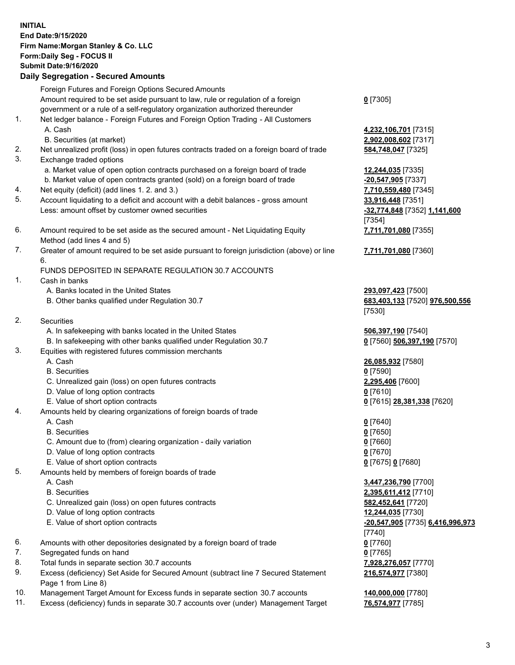| <b>INITIAL</b> | End Date: 9/15/2020<br>Firm Name: Morgan Stanley & Co. LLC<br>Form: Daily Seg - FOCUS II<br><b>Submit Date: 9/16/2020</b><br><b>Daily Segregation - Secured Amounts</b> |                                                                |
|----------------|-------------------------------------------------------------------------------------------------------------------------------------------------------------------------|----------------------------------------------------------------|
|                | Foreign Futures and Foreign Options Secured Amounts                                                                                                                     |                                                                |
|                | Amount required to be set aside pursuant to law, rule or regulation of a foreign<br>government or a rule of a self-regulatory organization authorized thereunder        | $0$ [7305]                                                     |
| 1.             | Net ledger balance - Foreign Futures and Foreign Option Trading - All Customers<br>A. Cash                                                                              | 4,232,106,701 [7315]                                           |
|                | B. Securities (at market)                                                                                                                                               | 2,902,008,602 [7317]                                           |
| 2.<br>3.       | Net unrealized profit (loss) in open futures contracts traded on a foreign board of trade<br>Exchange traded options                                                    | 584,748,047 [7325]                                             |
|                | a. Market value of open option contracts purchased on a foreign board of trade                                                                                          | 12,244,035 [7335]                                              |
|                | b. Market value of open contracts granted (sold) on a foreign board of trade                                                                                            | -20,547,905 [7337]                                             |
| 4.             | Net equity (deficit) (add lines 1.2. and 3.)                                                                                                                            | 7,710,559,480 [7345]                                           |
| 5.             | Account liquidating to a deficit and account with a debit balances - gross amount<br>Less: amount offset by customer owned securities                                   | 33,916,448 [7351]<br>-32,774,848 [7352] 1,141,600<br>[7354]    |
| 6.             | Amount required to be set aside as the secured amount - Net Liquidating Equity<br>Method (add lines 4 and 5)                                                            | 7,711,701,080 [7355]                                           |
| 7.             | Greater of amount required to be set aside pursuant to foreign jurisdiction (above) or line<br>6.                                                                       | 7,711,701,080 [7360]                                           |
|                | FUNDS DEPOSITED IN SEPARATE REGULATION 30.7 ACCOUNTS                                                                                                                    |                                                                |
| 1.             | Cash in banks                                                                                                                                                           |                                                                |
|                | A. Banks located in the United States<br>B. Other banks qualified under Regulation 30.7                                                                                 | 293,097,423 [7500]<br>683,403,133 [7520] 976,500,556<br>[7530] |
| 2.             | Securities                                                                                                                                                              |                                                                |
|                | A. In safekeeping with banks located in the United States                                                                                                               | 506,397,190 [7540]                                             |
|                | B. In safekeeping with other banks qualified under Regulation 30.7                                                                                                      | 0 [7560] 506,397,190 [7570]                                    |
| 3.             | Equities with registered futures commission merchants                                                                                                                   |                                                                |
|                | A. Cash                                                                                                                                                                 | 26,085,932 [7580]                                              |
|                | <b>B.</b> Securities                                                                                                                                                    | $0$ [7590]                                                     |
|                | C. Unrealized gain (loss) on open futures contracts                                                                                                                     | 2,295,406 [7600]                                               |
|                | D. Value of long option contracts                                                                                                                                       | $0$ [7610]                                                     |
| 4.             | E. Value of short option contracts<br>Amounts held by clearing organizations of foreign boards of trade                                                                 | 0 [7615] 28,381,338 [7620]                                     |
|                | A. Cash                                                                                                                                                                 | $0$ [7640]                                                     |
|                | <b>B.</b> Securities                                                                                                                                                    | $0$ [7650]                                                     |
|                | C. Amount due to (from) clearing organization - daily variation                                                                                                         | $0$ [7660]                                                     |
|                | D. Value of long option contracts                                                                                                                                       | $0$ [7670]                                                     |
|                | E. Value of short option contracts                                                                                                                                      | 0 [7675] 0 [7680]                                              |
| 5.             | Amounts held by members of foreign boards of trade                                                                                                                      |                                                                |
|                | A. Cash                                                                                                                                                                 | 3,447,236,790 [7700]                                           |
|                | <b>B.</b> Securities                                                                                                                                                    | 2,395,611,412 [7710]                                           |
|                | C. Unrealized gain (loss) on open futures contracts                                                                                                                     | 582,452,641 [7720]                                             |
|                | D. Value of long option contracts                                                                                                                                       | 12,244,035 [7730]                                              |
|                | E. Value of short option contracts                                                                                                                                      | -20,547,905 [7735] 6,416,996,973<br>[7740]                     |
| 6.             | Amounts with other depositories designated by a foreign board of trade                                                                                                  | $0$ [7760]                                                     |
| 7.             | Segregated funds on hand                                                                                                                                                | $0$ [7765]                                                     |
| 8.<br>9.       | Total funds in separate section 30.7 accounts<br>Excess (deficiency) Set Aside for Secured Amount (subtract line 7 Secured Statement                                    | 7,928,276,057 [7770]                                           |
|                | Page 1 from Line 8)                                                                                                                                                     | 216,574,977 [7380]                                             |

- 10. Management Target Amount for Excess funds in separate section 30.7 accounts **140,000,000** [7780]
- 11. Excess (deficiency) funds in separate 30.7 accounts over (under) Management Target **76,574,977** [7785]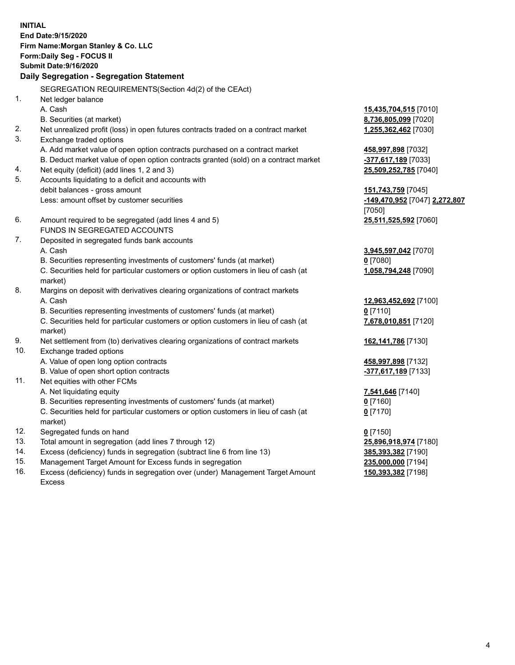**INITIAL End Date:9/15/2020 Firm Name:Morgan Stanley & Co. LLC Form:Daily Seg - FOCUS II Submit Date:9/16/2020 Daily Segregation - Segregation Statement** SEGREGATION REQUIREMENTS(Section 4d(2) of the CEAct) 1. Net ledger balance A. Cash **15,435,704,515** [7010] B. Securities (at market) **8,736,805,099** [7020] 2. Net unrealized profit (loss) in open futures contracts traded on a contract market **1,255,362,462** [7030] 3. Exchange traded options A. Add market value of open option contracts purchased on a contract market **458,997,898** [7032] B. Deduct market value of open option contracts granted (sold) on a contract market **-377,617,189** [7033] 4. Net equity (deficit) (add lines 1, 2 and 3) **25,509,252,785** [7040] 5. Accounts liquidating to a deficit and accounts with debit balances - gross amount **151,743,759** [7045] Less: amount offset by customer securities **-149,470,952** [7047] **2,272,807** [7050] 6. Amount required to be segregated (add lines 4 and 5) **25,511,525,592** [7060] FUNDS IN SEGREGATED ACCOUNTS 7. Deposited in segregated funds bank accounts A. Cash **3,945,597,042** [7070] B. Securities representing investments of customers' funds (at market) **0** [7080] C. Securities held for particular customers or option customers in lieu of cash (at market) **1,058,794,248** [7090] 8. Margins on deposit with derivatives clearing organizations of contract markets A. Cash **12,963,452,692** [7100] B. Securities representing investments of customers' funds (at market) **0** [7110] C. Securities held for particular customers or option customers in lieu of cash (at market) **7,678,010,851** [7120] 9. Net settlement from (to) derivatives clearing organizations of contract markets **162,141,786** [7130] 10. Exchange traded options A. Value of open long option contracts **458,997,898** [7132] B. Value of open short option contracts **-377,617,189** [7133] 11. Net equities with other FCMs A. Net liquidating equity **7,541,646** [7140] B. Securities representing investments of customers' funds (at market) **0** [7160] C. Securities held for particular customers or option customers in lieu of cash (at market) **0** [7170] 12. Segregated funds on hand **0** [7150] 13. Total amount in segregation (add lines 7 through 12) **25,896,918,974** [7180] 14. Excess (deficiency) funds in segregation (subtract line 6 from line 13) **385,393,382** [7190] 15. Management Target Amount for Excess funds in segregation **235,000,000** [7194]

16. Excess (deficiency) funds in segregation over (under) Management Target Amount Excess

**150,393,382** [7198]